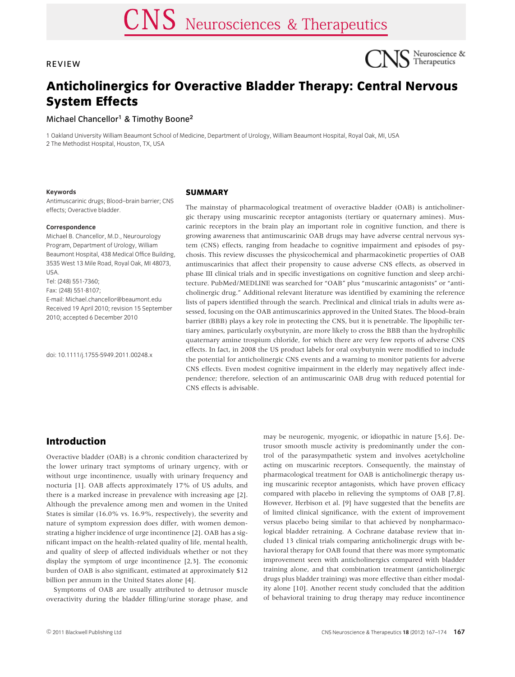

# **Anticholinergics for Overactive Bladder Therapy: Central Nervous System Effects**

#### Michael Chancellor**<sup>1</sup>** & Timothy Boone**<sup>2</sup>**

1 Oakland University William Beaumont School of Medicine, Department of Urology, William Beaumont Hospital, Royal Oak, MI, USA 2 The Methodist Hospital, Houston, TX, USA

#### **Keywords**

Antimuscarinic drugs; Blood–brain barrier; CNS effects; Overactive bladder.

#### **Correspondence**

Michael B. Chancellor, M.D., Neurourology Program, Department of Urology, William Beaumont Hospital, 438 Medical Office Building, 3535 West 13 Mile Road, Royal Oak, MI 48073, USA. Tel: (248) 551-7360; Fax: (248) 551-8107; E-mail: Michael.chancellor@beaumont.edu Received 19 April 2010; revision 15 September 2010; accepted 6 December 2010

doi: 10.1111/j.1755-5949.2011.00248.x

#### **SUMMARY**

The mainstay of pharmacological treatment of overactive bladder (OAB) is anticholinergic therapy using muscarinic receptor antagonists (tertiary or quaternary amines). Muscarinic receptors in the brain play an important role in cognitive function, and there is growing awareness that antimuscarinic OAB drugs may have adverse central nervous system (CNS) effects, ranging from headache to cognitive impairment and episodes of psychosis. This review discusses the physicochemical and pharmacokinetic properties of OAB antimuscarinics that affect their propensity to cause adverse CNS effects, as observed in phase III clinical trials and in specific investigations on cognitive function and sleep architecture. PubMed/MEDLINE was searched for "OAB" plus "muscarinic antagonists" or "anticholinergic drug." Additional relevant literature was identified by examining the reference lists of papers identified through the search. Preclinical and clinical trials in adults were assessed, focusing on the OAB antimuscarinics approved in the United States. The blood–brain barrier (BBB) plays a key role in protecting the CNS, but it is penetrable. The lipophilic tertiary amines, particularly oxybutynin, are more likely to cross the BBB than the hydrophilic quaternary amine trospium chloride, for which there are very few reports of adverse CNS effects. In fact, in 2008 the US product labels for oral oxybutynin were modified to include the potential for anticholinergic CNS events and a warning to monitor patients for adverse CNS effects. Even modest cognitive impairment in the elderly may negatively affect independence; therefore, selection of an antimuscarinic OAB drug with reduced potential for CNS effects is advisable.

#### **Introduction**

Overactive bladder (OAB) is a chronic condition characterized by the lower urinary tract symptoms of urinary urgency, with or without urge incontinence, usually with urinary frequency and nocturia [1]. OAB affects approximately 17% of US adults, and there is a marked increase in prevalence with increasing age [2]. Although the prevalence among men and women in the United States is similar (16.0% vs. 16.9%, respectively), the severity and nature of symptom expression does differ, with women demonstrating a higher incidence of urge incontinence [2]. OAB has a significant impact on the health-related quality of life, mental health, and quality of sleep of affected individuals whether or not they display the symptom of urge incontinence [2,3]. The economic burden of OAB is also significant, estimated at approximately \$12 billion per annum in the United States alone [4].

Symptoms of OAB are usually attributed to detrusor muscle overactivity during the bladder filling/urine storage phase, and may be neurogenic, myogenic, or idiopathic in nature [5,6]. Detrusor smooth muscle activity is predominantly under the control of the parasympathetic system and involves acetylcholine acting on muscarinic receptors. Consequently, the mainstay of pharmacological treatment for OAB is anticholinergic therapy using muscarinic receptor antagonists, which have proven efficacy compared with placebo in relieving the symptoms of OAB [7,8]. However, Herbison et al. [9] have suggested that the benefits are of limited clinical significance, with the extent of improvement versus placebo being similar to that achieved by nonpharmacological bladder retraining. A Cochrane database review that included 13 clinical trials comparing anticholinergic drugs with behavioral therapy for OAB found that there was more symptomatic improvement seen with anticholinergics compared with bladder training alone, and that combination treatment (anticholinergic drugs plus bladder training) was more effective than either modality alone [10]. Another recent study concluded that the addition of behavioral training to drug therapy may reduce incontinence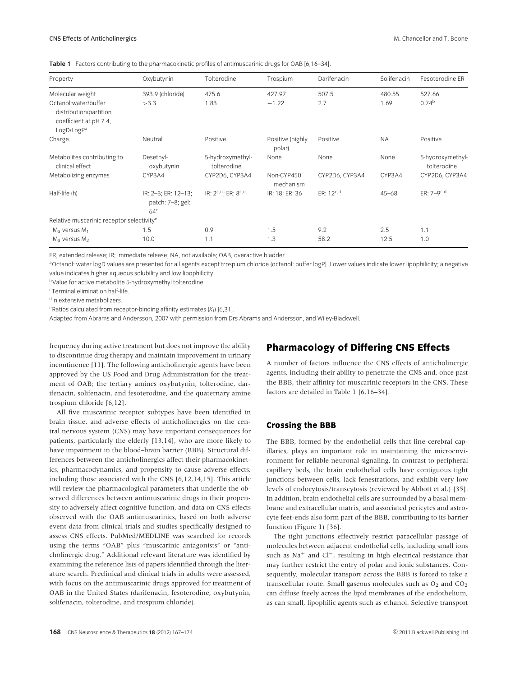|  |  |  | Table 1 Factors contributing to the pharmacokinetic profiles of antimuscarinic drugs for OAB [6,16-34]. |  |  |
|--|--|--|---------------------------------------------------------------------------------------------------------|--|--|
|--|--|--|---------------------------------------------------------------------------------------------------------|--|--|

| Property                                                                                           | Oxybutynin                                                 | Tolterodine                     | Trospium                   | Darifenacin    | Solifenacin | Fesoterodine ER                 |
|----------------------------------------------------------------------------------------------------|------------------------------------------------------------|---------------------------------|----------------------------|----------------|-------------|---------------------------------|
| Molecular weight                                                                                   | 393.9 (chloride)                                           | 475.6                           | 427.97                     | 507.5          | 480.55      | 527.66                          |
| Octanol:water/buffer<br>distribution/partition<br>coefficient at pH 7.4.<br>LogD/LogP <sup>a</sup> | >3.3                                                       | 1.83                            | $-1.22$                    | 2.7            | 1.69        | $0.74^{b}$                      |
| Charge                                                                                             | Neutral                                                    | Positive                        | Positive (highly<br>polar) | Positive       | <b>NA</b>   | Positive                        |
| Metabolites contributing to<br>clinical effect                                                     | Desethyl-<br>oxybutynin                                    | 5-hydroxymethyl-<br>tolterodine | None                       | None           | None        | 5-hydroxymethyl-<br>tolterodine |
| Metabolizing enzymes                                                                               | CYP3A4                                                     | CYP2D6, CYP3A4                  | Non-CYP450<br>mechanism    | CYP2D6, CYP3A4 | CYP3A4      | CYP2D6, CYP3A4                  |
| Half-life (h)                                                                                      | IR: 2-3; ER: 12-13;<br>patch: 7-8; gel:<br>64 <sup>c</sup> | $IR: 2^{c,d}$ : ER: $8^{c,d}$   | IR: 18; ER: 36             | ER: $12^{c,d}$ | $45 - 68$   | $ER: 7-9^{c,d}$                 |
| Relative muscarinic receptor selectivity <sup>e</sup>                                              |                                                            |                                 |                            |                |             |                                 |
| $M_3$ versus $M_1$                                                                                 | 1.5                                                        | 0.9                             | 1.5                        | 9.2            | 2.5         | 1.1                             |
| $M_3$ versus $M_2$                                                                                 | 10.0                                                       | 1.1                             | 1.3                        | 58.2           | 12.5        | 1.0                             |

ER, extended release; IR; immediate release; NA, not available; OAB, overactive bladder.

aOctanol: water logD values are presented for all agents except trospium chloride (octanol: buffer logP). Lower values indicate lower lipophilicity; a negative value indicates higher aqueous solubility and low lipophilicity.

bValue for active metabolite 5-hydroxymethyl tolterodine.

cTerminal elimination half-life.

<sup>d</sup>In extensive metabolizers.

eRatios calculated from receptor-binding affinity estimates (*K*i) [6,31].

Adapted from Abrams and Andersson*,* 2007 with permission from Drs Abrams and Andersson, and Wiley-Blackwell.

frequency during active treatment but does not improve the ability to discontinue drug therapy and maintain improvement in urinary incontinence [11]. The following anticholinergic agents have been approved by the US Food and Drug Administration for the treatment of OAB; the tertiary amines oxybutynin, tolterodine, darifenacin, solifenacin, and fesoterodine, and the quaternary amine trospium chloride [6,12].

All five muscarinic receptor subtypes have been identified in brain tissue, and adverse effects of anticholinergics on the central nervous system (CNS) may have important consequences for patients, particularly the elderly [13,14], who are more likely to have impairment in the blood–brain barrier (BBB). Structural differences between the anticholinergics affect their pharmacokinetics, pharmacodynamics, and propensity to cause adverse effects, including those associated with the CNS [6,12,14,15]. This article will review the pharmacological parameters that underlie the observed differences between antimuscarinic drugs in their propensity to adversely affect cognitive function, and data on CNS effects observed with the OAB antimuscarinics, based on both adverse event data from clinical trials and studies specifically designed to assess CNS effects. PubMed/MEDLINE was searched for records using the terms "OAB" plus "muscarinic antagonists" or "anticholinergic drug." Additional relevant literature was identified by examining the reference lists of papers identified through the literature search. Preclinical and clinical trials in adults were assessed, with focus on the antimuscarinic drugs approved for treatment of OAB in the United States (darifenacin, fesoterodine, oxybutynin, solifenacin, tolterodine, and trospium chloride).

# **Pharmacology of Differing CNS Effects**

A number of factors influence the CNS effects of anticholinergic agents, including their ability to penetrate the CNS and, once past the BBB, their affinity for muscarinic receptors in the CNS. These factors are detailed in Table 1 [6,16–34].

#### **Crossing the BBB**

The BBB, formed by the endothelial cells that line cerebral capillaries, plays an important role in maintaining the microenvironment for reliable neuronal signaling. In contrast to peripheral capillary beds, the brain endothelial cells have contiguous tight junctions between cells, lack fenestrations, and exhibit very low levels of endocytosis/transcytosis (reviewed by Abbott et al.) [35]. In addition, brain endothelial cells are surrounded by a basal membrane and extracellular matrix, and associated pericytes and astrocyte feet-ends also form part of the BBB, contributing to its barrier function (Figure 1) [36].

The tight junctions effectively restrict paracellular passage of molecules between adjacent endothelial cells, including small ions such as Na<sup>+</sup> and Cl<sup>−</sup>, resulting in high electrical resistance that may further restrict the entry of polar and ionic substances. Consequently, molecular transport across the BBB is forced to take a transcellular route. Small gaseous molecules such as  $O_2$  and  $CO_2$ can diffuse freely across the lipid membranes of the endothelium, as can small, lipophilic agents such as ethanol. Selective transport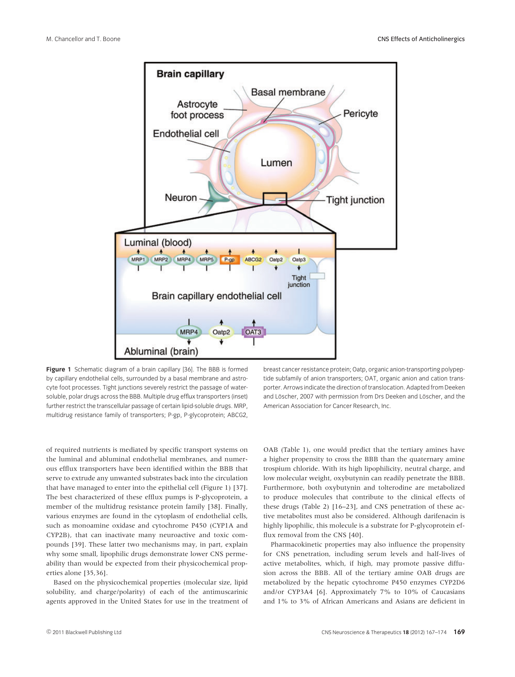

Figure 1 Schematic diagram of a brain capillary [36]. The BBB is formed by capillary endothelial cells, surrounded by a basal membrane and astrocyte foot processes. Tight junctions severely restrict the passage of watersoluble, polar drugs across the BBB. Multiple drug efflux transporters (inset) further restrict the transcellular passage of certain lipid-soluble drugs. MRP, multidrug resistance family of transporters; P-gp, P-glycoprotein; ABCG2,

breast cancer resistance protein; Oatp, organic anion-transporting polypeptide subfamily of anion transporters; OAT, organic anion and cation transporter. Arrows indicate the direction of translocation. Adapted from Deeken and Löscher, 2007 with permission from Drs Deeken and Löscher, and the American Association for Cancer Research, Inc.

of required nutrients is mediated by specific transport systems on the luminal and abluminal endothelial membranes, and numerous efflux transporters have been identified within the BBB that serve to extrude any unwanted substrates back into the circulation that have managed to enter into the epithelial cell (Figure 1) [37]. The best characterized of these efflux pumps is P-glycoprotein, a member of the multidrug resistance protein family [38]. Finally, various enzymes are found in the cytoplasm of endothelial cells, such as monoamine oxidase and cytochrome P450 (CYP1A and CYP2B), that can inactivate many neuroactive and toxic compounds [39]. These latter two mechanisms may, in part, explain why some small, lipophilic drugs demonstrate lower CNS permeability than would be expected from their physicochemical properties alone [35,36].

Based on the physicochemical properties (molecular size, lipid solubility, and charge/polarity) of each of the antimuscarinic agents approved in the United States for use in the treatment of OAB (Table 1), one would predict that the tertiary amines have a higher propensity to cross the BBB than the quaternary amine trospium chloride. With its high lipophilicity, neutral charge, and low molecular weight, oxybutynin can readily penetrate the BBB. Furthermore, both oxybutynin and tolterodine are metabolized to produce molecules that contribute to the clinical effects of these drugs (Table 2) [16–23], and CNS penetration of these active metabolites must also be considered. Although darifenacin is highly lipophilic, this molecule is a substrate for P-glycoprotein efflux removal from the CNS [40].

Pharmacokinetic properties may also influence the propensity for CNS penetration, including serum levels and half-lives of active metabolites, which, if high, may promote passive diffusion across the BBB. All of the tertiary amine OAB drugs are metabolized by the hepatic cytochrome P450 enzymes CYP2D6 and/or CYP3A4 [6]. Approximately 7% to 10% of Caucasians and 1% to 3% of African Americans and Asians are deficient in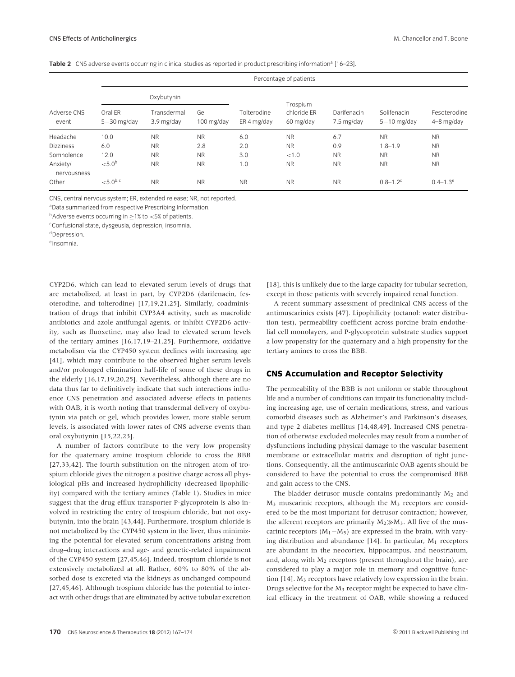|  |  |  |  |  | <b>Table 2</b> CNS adverse events occurring in clinical studies as reported in product prescribing information <sup>a</sup> [16–23]. |
|--|--|--|--|--|--------------------------------------------------------------------------------------------------------------------------------------|
|--|--|--|--|--|--------------------------------------------------------------------------------------------------------------------------------------|

|                         | Percentage of patients     |                           |                   |                            |                                      |                           |                                |                            |
|-------------------------|----------------------------|---------------------------|-------------------|----------------------------|--------------------------------------|---------------------------|--------------------------------|----------------------------|
|                         | Oxybutynin                 |                           |                   |                            |                                      |                           |                                |                            |
| Adverse CNS<br>event    | Oral ER<br>$5 - 30$ mg/day | Transdermal<br>3.9 mg/day | Gel<br>100 mg/day | Tolterodine<br>ER 4 mg/day | Trospium<br>chloride ER<br>60 mg/day | Darifenacin<br>7.5 mg/day | Solifenacin<br>$5 - 10$ mg/day | Fesoterodine<br>4-8 mg/day |
| Headache                | 10.0                       | <b>NR</b>                 | <b>NR</b>         | 6.0                        | <b>NR</b>                            | 6.7                       | <b>NR</b>                      | <b>NR</b>                  |
| <b>Dizziness</b>        | 6.0                        | <b>NR</b>                 | 2.8               | 2.0                        | <b>NR</b>                            | 0.9                       | $1.8 - 1.9$                    | <b>NR</b>                  |
| Somnolence              | 12.0                       | <b>NR</b>                 | <b>NR</b>         | 3.0                        | < 1.0                                | <b>NR</b>                 | <b>NR</b>                      | <b>NR</b>                  |
| Anxiety/<br>nervousness | < 5.0 <sup>b</sup>         | <b>NR</b>                 | <b>NR</b>         | 1.0                        | <b>NR</b>                            | <b>NR</b>                 | <b>NR</b>                      | <b>NR</b>                  |
| Other                   | ${<}5.0^{b,c}$             | <b>NR</b>                 | <b>NR</b>         | <b>NR</b>                  | <b>NR</b>                            | <b>NR</b>                 | $0.8 - 1.2$ <sup>d</sup>       | $0.4 - 1.3^e$              |

CNS, central nervous system; ER, extended release; NR, not reported.

aData summarized from respective Prescribing Information.

 $b$ Adverse events occurring in  $\geq$  1% to <5% of patients.

cConfusional state, dysgeusia, depression, insomnia.

dDepression.

eInsomnia.

CYP2D6, which can lead to elevated serum levels of drugs that are metabolized, at least in part, by CYP2D6 (darifenacin, fesoterodine, and tolterodine) [17,19,21,25]. Similarly, coadministration of drugs that inhibit CYP3A4 activity, such as macrolide antibiotics and azole antifungal agents, or inhibit CYP2D6 activity, such as fluoxetine, may also lead to elevated serum levels of the tertiary amines [16,17,19–21,25]. Furthermore, oxidative metabolism via the CYP450 system declines with increasing age [41], which may contribute to the observed higher serum levels and/or prolonged elimination half-life of some of these drugs in the elderly [16,17,19,20,25]. Nevertheless, although there are no data thus far to definitively indicate that such interactions influence CNS penetration and associated adverse effects in patients with OAB, it is worth noting that transdermal delivery of oxybutynin via patch or gel, which provides lower, more stable serum levels, is associated with lower rates of CNS adverse events than oral oxybutynin [15,22,23].

A number of factors contribute to the very low propensity for the quaternary amine trospium chloride to cross the BBB [27,33,42]. The fourth substitution on the nitrogen atom of trospium chloride gives the nitrogen a positive charge across all physiological pHs and increased hydrophilicity (decreased lipophilicity) compared with the tertiary amines (Table 1). Studies in mice suggest that the drug efflux transporter P-glycoprotein is also involved in restricting the entry of trospium chloride, but not oxybutynin, into the brain [43,44]. Furthermore, trospium chloride is not metabolized by the CYP450 system in the liver, thus minimizing the potential for elevated serum concentrations arising from drug–drug interactions and age- and genetic-related impairment of the CYP450 system [27,45,46]. Indeed, trospium chloride is not extensively metabolized at all. Rather, 60% to 80% of the absorbed dose is excreted via the kidneys as unchanged compound [27,45,46]. Although trospium chloride has the potential to interact with other drugs that are eliminated by active tubular excretion [18], this is unlikely due to the large capacity for tubular secretion, except in those patients with severely impaired renal function.

A recent summary assessment of preclinical CNS access of the antimuscarinics exists [47]. Lipophilicity (octanol: water distribution test), permeability coefficient across porcine brain endothelial cell monolayers, and P-glycoprotein substrate studies support a low propensity for the quaternary and a high propensity for the tertiary amines to cross the BBB.

#### **CNS Accumulation and Receptor Selectivity**

The permeability of the BBB is not uniform or stable throughout life and a number of conditions can impair its functionality including increasing age, use of certain medications, stress, and various comorbid diseases such as Alzheimer's and Parkinson's diseases, and type 2 diabetes mellitus [14,48,49]. Increased CNS penetration of otherwise excluded molecules may result from a number of dysfunctions including physical damage to the vascular basement membrane or extracellular matrix and disruption of tight junctions. Consequently, all the antimuscarinic OAB agents should be considered to have the potential to cross the compromised BBB and gain access to the CNS.

The bladder detrusor muscle contains predominantly  $M_2$  and M3 muscarinic receptors, although the M3 receptors are considered to be the most important for detrusor contraction; however, the afferent receptors are primarily  $M_2 \gg M_3$ . All five of the muscarinic receptors ( $M_1$ − $M_5$ ) are expressed in the brain, with varying distribution and abundance [14]. In particular,  $M_1$  receptors are abundant in the neocortex, hippocampus, and neostriatum, and, along with  $M_2$  receptors (present throughout the brain), are considered to play a major role in memory and cognitive function [14]. M3 receptors have relatively low expression in the brain. Drugs selective for the  $M_3$  receptor might be expected to have clinical efficacy in the treatment of OAB, while showing a reduced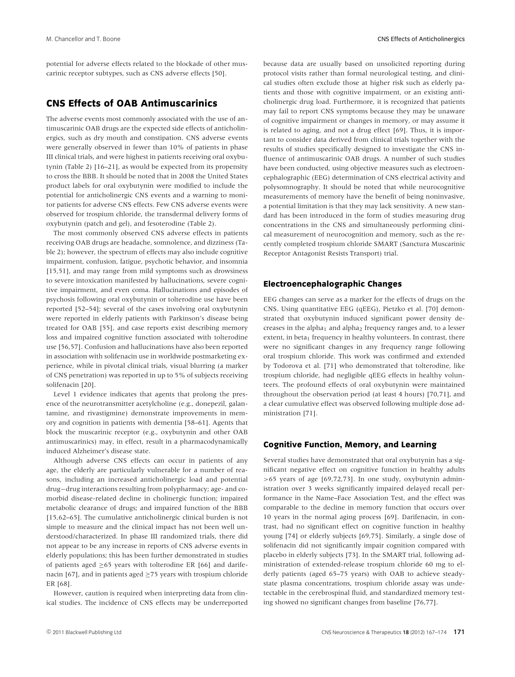potential for adverse effects related to the blockade of other muscarinic receptor subtypes, such as CNS adverse effects [50].

## **CNS Effects of OAB Antimuscarinics**

The adverse events most commonly associated with the use of antimuscarinic OAB drugs are the expected side effects of anticholinergics, such as dry mouth and constipation. CNS adverse events were generally observed in fewer than 10% of patients in phase III clinical trials, and were highest in patients receiving oral oxybutynin (Table 2) [16–21], as would be expected from its propensity to cross the BBB. It should be noted that in 2008 the United States product labels for oral oxybutynin were modified to include the potential for anticholinergic CNS events and a warning to monitor patients for adverse CNS effects. Few CNS adverse events were observed for trospium chloride, the transdermal delivery forms of oxybutynin (patch and gel), and fesoterodine (Table 2).

The most commonly observed CNS adverse effects in patients receiving OAB drugs are headache, somnolence, and dizziness (Table 2); however, the spectrum of effects may also include cognitive impairment, confusion, fatigue, psychotic behavior, and insomnia [15,51], and may range from mild symptoms such as drowsiness to severe intoxication manifested by hallucinations, severe cognitive impairment, and even coma. Hallucinations and episodes of psychosis following oral oxybutynin or tolterodine use have been reported [52–54]; several of the cases involving oral oxybutynin were reported in elderly patients with Parkinson's disease being treated for OAB [55], and case reports exist describing memory loss and impaired cognitive function associated with tolterodine use [56,57]. Confusion and hallucinations have also been reported in association with solifenacin use in worldwide postmarketing experience, while in pivotal clinical trials, visual blurring (a marker of CNS penetration) was reported in up to 5% of subjects receiving solifenacin [20].

Level 1 evidence indicates that agents that prolong the presence of the neurotransmitter acetylcholine (e.g., donepezil, galantamine, and rivastigmine) demonstrate improvements in memory and cognition in patients with dementia [58–61]. Agents that block the muscarinic receptor (e.g., oxybutynin and other OAB antimuscarinics) may, in effect, result in a pharmacodynamically induced Alzheimer's disease state.

Although adverse CNS effects can occur in patients of any age, the elderly are particularly vulnerable for a number of reasons, including an increased anticholinergic load and potential drug−drug interactions resulting from polypharmacy; age- and comorbid disease-related decline in cholinergic function; impaired metabolic clearance of drugs; and impaired function of the BBB [15,62–65]. The cumulative anticholinergic clinical burden is not simple to measure and the clinical impact has not been well understood/characterized. In phase III randomized trials, there did not appear to be any increase in reports of CNS adverse events in elderly populations; this has been further demonstrated in studies of patients aged  $\geq$  65 years with tolterodine ER [66] and darifenacin [67], and in patients aged  $\geq$ 75 years with trospium chloride ER [68].

However, caution is required when interpreting data from clinical studies. The incidence of CNS effects may be underreported because data are usually based on unsolicited reporting during protocol visits rather than formal neurological testing, and clinical studies often exclude those at higher risk such as elderly patients and those with cognitive impairment, or an existing anticholinergic drug load. Furthermore, it is recognized that patients may fail to report CNS symptoms because they may be unaware of cognitive impairment or changes in memory, or may assume it is related to aging, and not a drug effect [69]. Thus, it is important to consider data derived from clinical trials together with the results of studies specifically designed to investigate the CNS influence of antimuscarinic OAB drugs. A number of such studies have been conducted, using objective measures such as electroencephalographic (EEG) determination of CNS electrical activity and polysomnography. It should be noted that while neurocognitive measurements of memory have the benefit of being noninvasive, a potential limitation is that they may lack sensitivity. A new standard has been introduced in the form of studies measuring drug concentrations in the CNS and simultaneously performing clinical measurement of neurocognition and memory, such as the recently completed trospium chloride SMART (Sanctura Muscarinic Receptor Antagonist Resists Transport) trial.

#### **Electroencephalographic Changes**

EEG changes can serve as a marker for the effects of drugs on the CNS. Using quantitative EEG (qEEG), Pietzko et al. [70] demonstrated that oxybutynin induced significant power density decreases in the alpha<sub>1</sub> and alpha<sub>2</sub> frequency ranges and, to a lesser extent, in beta<sub>1</sub> frequency in healthy volunteers. In contrast, there were no significant changes in any frequency range following oral trospium chloride. This work was confirmed and extended by Todorova et al. [71] who demonstrated that tolterodine, like trospium chloride, had negligible qEEG effects in healthy volunteers. The profound effects of oral oxybutynin were maintained throughout the observation period (at least 4 hours) [70,71], and a clear cumulative effect was observed following multiple dose administration [71].

#### **Cognitive Function, Memory, and Learning**

Several studies have demonstrated that oral oxybutynin has a significant negative effect on cognitive function in healthy adults >65 years of age [69,72,73]. In one study, oxybutynin administration over 3 weeks significantly impaired delayed recall performance in the Name–Face Association Test, and the effect was comparable to the decline in memory function that occurs over 10 years in the normal aging process [69]. Darifenacin, in contrast, had no significant effect on cognitive function in healthy young [74] or elderly subjects [69,75]. Similarly, a single dose of solifenacin did not significantly impair cognition compared with placebo in elderly subjects [73]. In the SMART trial, following administration of extended-release trospium chloride 60 mg to elderly patients (aged 65–75 years) with OAB to achieve steadystate plasma concentrations, trospium chloride assay was undetectable in the cerebrospinal fluid, and standardized memory testing showed no significant changes from baseline [76,77].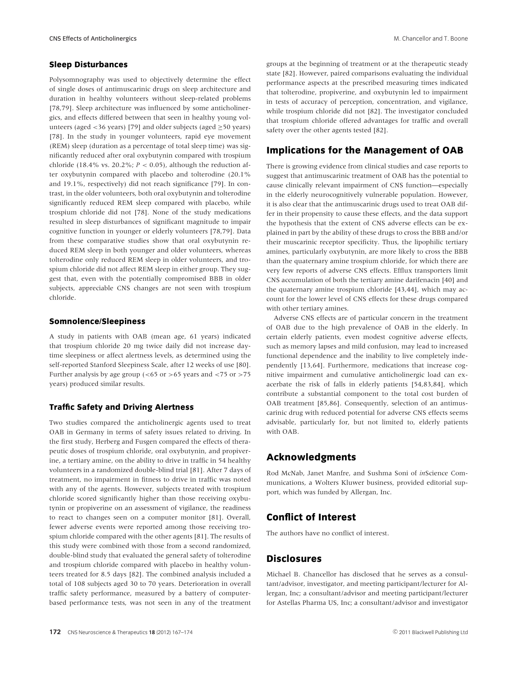#### **Sleep Disturbances**

Polysomnography was used to objectively determine the effect of single doses of antimuscarinic drugs on sleep architecture and duration in healthy volunteers without sleep-related problems [78,79]. Sleep architecture was influenced by some anticholinergics, and effects differed between that seen in healthy young volunteers (aged <36 years) [79] and older subjects (aged  $\geq$ 50 years) [78]. In the study in younger volunteers, rapid eye movement (REM) sleep (duration as a percentage of total sleep time) was significantly reduced after oral oxybutynin compared with trospium chloride (18.4% vs. 20.2%;  $P < 0.05$ ), although the reduction after oxybutynin compared with placebo and tolterodine (20.1% and 19.1%, respectively) did not reach significance [79]. In contrast, in the older volunteers, both oral oxybutynin and tolterodine significantly reduced REM sleep compared with placebo, while trospium chloride did not [78]. None of the study medications resulted in sleep disturbances of significant magnitude to impair cognitive function in younger or elderly volunteers [78,79]. Data from these comparative studies show that oral oxybutynin reduced REM sleep in both younger and older volunteers, whereas tolterodine only reduced REM sleep in older volunteers, and trospium chloride did not affect REM sleep in either group. They suggest that, even with the potentially compromised BBB in older subjects, appreciable CNS changes are not seen with trospium chloride.

#### **Somnolence/Sleepiness**

A study in patients with OAB (mean age, 61 years) indicated that trospium chloride 20 mg twice daily did not increase daytime sleepiness or affect alertness levels, as determined using the self-reported Stanford Sleepiness Scale, after 12 weeks of use [80]. Further analysis by age group  $\approx 65$  or  $> 65$  years and  $\lt 75$  or  $> 75$ years) produced similar results.

#### **Traffic Safety and Driving Alertness**

Two studies compared the anticholinergic agents used to treat OAB in Germany in terms of safety issues related to driving. In the first study, Herberg and Fusgen compared the effects of therapeutic doses of trospium chloride, oral oxybutynin, and propiverine, a tertiary amine, on the ability to drive in traffic in 54 healthy volunteers in a randomized double-blind trial [81]. After 7 days of treatment, no impairment in fitness to drive in traffic was noted with any of the agents. However, subjects treated with trospium chloride scored significantly higher than those receiving oxybutynin or propiverine on an assessment of vigilance, the readiness to react to changes seen on a computer monitor [81]. Overall, fewer adverse events were reported among those receiving trospium chloride compared with the other agents [81]. The results of this study were combined with those from a second randomized, double-blind study that evaluated the general safety of tolterodine and trospium chloride compared with placebo in healthy volunteers treated for 8.5 days [82]. The combined analysis included a total of 108 subjects aged 30 to 70 years. Deterioration in overall traffic safety performance, measured by a battery of computerbased performance tests, was not seen in any of the treatment groups at the beginning of treatment or at the therapeutic steady state [82]. However, paired comparisons evaluating the individual performance aspects at the prescribed measuring times indicated that tolterodine, propiverine, and oxybutynin led to impairment in tests of accuracy of perception, concentration, and vigilance, while trospium chloride did not [82]. The investigator concluded that trospium chloride offered advantages for traffic and overall safety over the other agents tested [82].

#### **Implications for the Management of OAB**

There is growing evidence from clinical studies and case reports to suggest that antimuscarinic treatment of OAB has the potential to cause clinically relevant impairment of CNS function—especially in the elderly neurocognitively vulnerable population. However, it is also clear that the antimuscarinic drugs used to treat OAB differ in their propensity to cause these effects, and the data support the hypothesis that the extent of CNS adverse effects can be explained in part by the ability of these drugs to cross the BBB and/or their muscarinic receptor specificity. Thus, the lipophilic tertiary amines, particularly oxybutynin, are more likely to cross the BBB than the quaternary amine trospium chloride, for which there are very few reports of adverse CNS effects. Efflux transporters limit CNS accumulation of both the tertiary amine darifenacin [40] and the quaternary amine trospium chloride [43,44], which may account for the lower level of CNS effects for these drugs compared with other tertiary amines.

Adverse CNS effects are of particular concern in the treatment of OAB due to the high prevalence of OAB in the elderly. In certain elderly patients, even modest cognitive adverse effects, such as memory lapses and mild confusion, may lead to increased functional dependence and the inability to live completely independently [13,64]. Furthermore, medications that increase cognitive impairment and cumulative anticholinergic load can exacerbate the risk of falls in elderly patients [54,83,84], which contribute a substantial component to the total cost burden of OAB treatment [85,86]. Consequently, selection of an antimuscarinic drug with reduced potential for adverse CNS effects seems advisable, particularly for, but not limited to, elderly patients with OAB.

# **Acknowledgments**

Rod McNab, Janet Manfre, and Sushma Soni of *in*Science Communications, a Wolters Kluwer business, provided editorial support, which was funded by Allergan, Inc.

## **Conflict of Interest**

The authors have no conflict of interest.

#### **Disclosures**

Michael B. Chancellor has disclosed that he serves as a consultant/advisor, investigator, and meeting participant/lecturer for Allergan, Inc; a consultant/advisor and meeting participant/lecturer for Astellas Pharma US, Inc; a consultant/advisor and investigator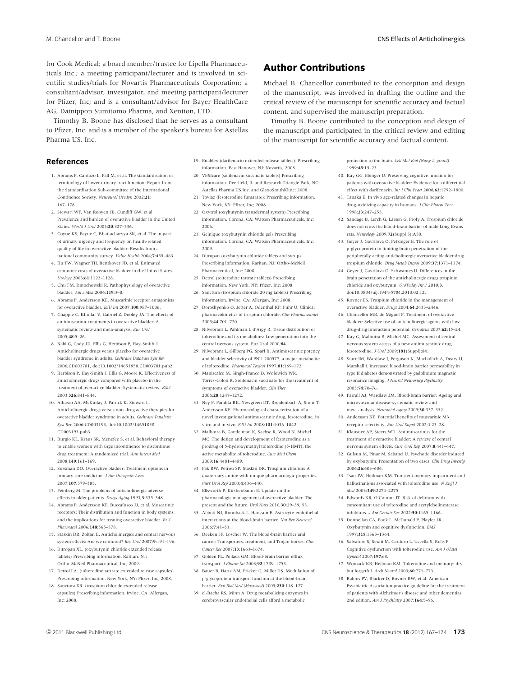for Cook Medical; a board member/trustee for Lipella Pharmaceuticals Inc.; a meeting participant/lecturer and is involved in scientific studies/trials for Novartis Pharmaceuticals Corporation; a consultant/advisor, investigator, and meeting participant/lecturer for Pfizer, Inc; and is a consultant/advisor for Bayer HealthCare AG, Dainippon Sumitomo Pharma, and Xention, LTD.

Timothy B. Boone has disclosed that he serves as a consultant to Pfizer, Inc. and is a member of the speaker's bureau for Astellas Pharma US, Inc.

#### **References**

- 1. Abrams P, Cardozo L, Fall M, et al. The standardisation of terminology of lower urinary tract function: Report from the Standardisation Sub-committee of the International Continence Society. *Neurourol Urodyn* 2002;**21**: 167–178.
- 2. Stewart WF, Van Rooyen JB, Cundiff GW, et al. Prevalence and burden of overactive bladder in the United States. *World J Urol* 2003;**20**:327–336.
- 3. Coyne KS, Payne C, Bhattacharyya SK, et al. The impact of urinary urgency and frequency on health-related quality of life in overactive bladder: Results from a national community survey. *Value Health* 2004;**7**:455–463.
- 4. Hu TW, Wagner TH, Bentkover JD, et al. Estimated economic costs of overactive bladder in the United States. *Urology* 2003;**61**:1123–1128.
- 5. Chu FM, Dmochowski R. Pathophysiology of overactive bladder. *Am J Med* 2006;**119**:3–8.
- 6. Abrams P, Andersson KE. Muscarinic receptor antagonists for overactive bladder. *BJU Int* 2007;**100**:987–1006.
- 7. Chapple C, Khullar V, Gabriel Z, Dooley JA. The effects of antimuscarinic treatments in overactive bladder: A systematic review and meta-analysis. *Eur Urol* 2005;**48**:5–26.
- 8. Nabi G, Cody JD, Ellis G, Herbison P, Hay-Smith J. Anticholinergic drugs versus placebo for overactive bladder syndrome in adults. *Cochrane Database Syst Rev* 2006;CD003781, doi:10.1002/14651858.CD003781.pub2.
- 9. Herbison P, Hay-Smith J, Ellis G, Moore K. Effectiveness of anticholinergic drugs compared with placebo in the treatment of overactive bladder: Systematic review. *BMJ* 2003;**326**:841–844.
- 10. Alhasso AA, McKinlay J, Patrick K, Stewart L. Anticholinergic drugs versus non-drug active therapies for overactive bladder syndrome in adults. *Cochrane Database Syst Rev* 2006:CD003193, doi:10.1002/14651858. CD003193.pub3.
- 11. Burgio KL, Kraus SR, Menefee S, et al. Behavioral therapy to enable women with urge incontinence to discontinu drug treatment: A randomized trial. *Ann Intern Med* 2008;**149**:161–169.
- 12. Sussman DO. Overactive bladder: Treatment options in primary care medicine. *J Am Osteopath Assoc* 2007;**107**:379–385.
- 13. Feinberg M. The problems of anticholinergic adverse effects in older patients. *Drugs Aging* 1993;**3**:335–348.
- 14. Abrams P, Andersson KE, Buccafusco JJ, et al. Muscarinic receptors: Their distribution and function in body systems, and the implications for treating overactive bladder. *Br J Pharmacol* 2006;**148**:565–578.
- 15. Staskin DR, Zoltan E. Anticholinergics and central nervous system effects: Are we confused? *Rev Urol* 2007;**9**:191–196.
- 16. Ditropan XL. (oxybutynin chloride extended release tablets) Prescribing information. Raritan, NJ: Ortho-McNeil Pharmaceutical, Inc; 2009.
- 17. Detrol LA. (tolterodine tartrate extended release capsules) Prescribing information. New York, NY: Pfizer, Inc; 2008.
- 18. Sanctura XR. (trospium chloride extended release capsules) Prescribing information. Irvine, CA: Allergan, Inc; 2008.
- 19. Enablex (darifenacin extended-release tablets): Prescribing information. East Hanover, NJ: Novartis; 2008.
- 20. VESIcare (solifenacin succinate tablets) Prescribing information. Deerfield, IL and Research Triangle Park, NC: Astellas Pharma US Inc. and GlaxoSmithKline; 2008.
- 21. Toviaz (fesoterodine fumarate): Prescribing information. New York, NY: Pfizer, Inc; 2008.
- 22. Oxytrol (oxybutynin transdermal system) Prescribing information. Corona, CA: Watson Pharmaceuticals, Inc; 2006.
- 23. Gelnique (oxybutynin chloride gel) Prescribing information. Corona, CA: Watson Pharmaceuticals, Inc; 2009.
- 24. Ditropan (oxybutynin chloride tablets and syrup) Prescribing information. Raritan, NJ: Ortho-McNeil Pharmaceutical, Inc; 2008.
- 25. Detrol (tolterodine tartrate tablets) Prescribing information. New York, NY: Pfizer, Inc; 2008.
- 26. Sanctura (trospium chloride 20 mg tablets) Prescribing information. Irvine, CA: Allergan, Inc; 2008.
- 27. Doroshyenko O, Jetter A, Odenthal KP, Fuhr U. Clinical pharmacokinetics of trospium chloride. *Clin Pharmacokinet* 2005;**44**:701–720.
- 28. Nilvebrant L, Pahlman I, d'Argy R. Tissue distribution of tolterodine and its metabolites: Low penetration into the central nervous system. Eur Urol 2000;**84**.
- 29. Nilvebrant L, Gillberg PG, Sparf B. Antimuscarinic potency and bladder selectivity of PNU-200577, a major metabolite of tolterodine. *Pharmacol Toxicol* 1997;**81**:169–172.
- 30. Maniscalco M, Singh-Franco D, Wolowich WR, Torres-Colon R. Solifenacin succinate for the treatment of symptoms of overactive bladder. *Clin Ther* 2006;**28**:1247–1272.
- 31. Ney P, Pandita RK, Newgreen DT, Breidenbach A, Stohr T, Andersson KE. Pharmacological characterization of a novel investigational antimuscarinic drug, fesoterodine, in vitro and in vivo. *BJU Int* 2008;**101**:1036–1042.
- 32. Malhotra B, Gandelman K, Sachse R, Wood N, Michel MC. The design and development of fesoterodine as a prodrug of 5-hydroxymethyl tolterodine (5-HMT), the active metabolite of tolterodine. *Curr Med Chem* 2009;**16**:4481–4489.
- 33. Pak RW, Petrou SP, Staskin DR. Trospium chloride: A quaternary amine with unique pharmacologic properties. *Curr Urol Rep* 2003;**4**:436–440.
- 34. Ellsworth P, Kirshenbaum E. Update on the pharmacologic management of overactive bladder: The present and the future. *Urol Nurs* 2010;**30**:29–39, 53.
- 35. Abbott NJ, Ronnback L, Hansson E. Astrocyte-endothelial interactions at the blood-brain barrier. *Nat Rev Neurosci* 2006;**7**:41–53.
- 36. Deeken JF, Loscher W. The blood-brain barrier and cancer: Transporters, treatment, and Trojan horses. *Clin Cancer Res* 2007;**13**:1663–1674.
- 37. Golden PL, Pollack GM. Blood-brain barrier efflux transport. *J Pharm Sci* 2003;**92**:1739–1753.
- 38. Bauer B, Hartz AM, Fricker G, Miller DS. Modulation of p-glycoprotein transport function at the blood-brain barrier. *Exp Biol Med (Maywood)* 2005;**230**:118–127.
- 39. el-Bacha RS, Minn A. Drug metabolizing enzymes in cerebrovascular endothelial cells afford a metabolic

# **Author Contributions**

Michael B. Chancellor contributed to the conception and design of the manuscript, was involved in drafting the outline and the critical review of the manuscript for scientific accuracy and factual content, and supervised the manuscript preparation.

Timothy B. Boone contributed to the conception and design of the manuscript and participated in the critical review and editing of the manuscript for scientific accuracy and factual content.

> protection to the brain. *Cell Mol Biol (Noisy-le-grand)* 1999;**45**:15–23.

- 40. Kay GG, Ebinger U. Preserving cognitive function for patients with overactive bladder: Evidence for a differential effect with darifenacin. *Int J Clin Pract* 2008;**62**:1792–1800.
- 41. Tanaka E. In vivo age-related changes in hepatic drug-oxidizing capacity in humans. *J Clin Pharm Ther* 1998;**23**:247–255.
- 42. Sandage B, Lerch G, Larsen G, Profy A. Trospium chloride does not cross the blood-brain barrier of male Long Evans rats. *Neurology* 2009;**72**(Suppl 3):A50.
- 43. Geyer J, Gavrilova O, Petzinger E. The role of p-glycoprotein in limiting brain penetration of the peripherally acting anticholinergic overactive bladder drug trospium chloride. *Drug Metab Dispos* 2009;**37**:1371–1374.
- 44. Geyer J, Gavrilova O, Schwantes U. Differences in the brain penetration of the anticholinergic drugs trospium chloride and oxybutynin. *UroToday Int J* 2010;**3**, doi:10.3834/uij.1944-5784.2010.02.12.
- 45. Rovner ES. Trospium chloride in the management of overactive bladder. *Drugs* 2004;**64**:2433–2446.
- 46. Chancellor MB, de Miguel F. Treatment of overactive bladder: Selective use of anticholinergic agents with low drug-drug interaction potential. *Geriatrics* 2007;**62**:15–24.
- 47. Kay G, Malhotra B, Michel MC. Assessment of central nervous system access of a new antimuscarinic drug, fesoterodine. *J Urol* 2009;**181**(Suppl):84.
- 48. Starr JM, Wardlaw J, Ferguson K, MacLullich A, Deary IJ, Marshall I. Increased blood-brain barrier permeability in type II diabetes demonstrated by gadolinium magnetic resonance imaging. *J Neurol Neurosurg Psychiatry* 2003;**74**:70–76.
- 49. Farrall AJ, Wardlaw JM. Blood-brain barrier: Ageing and microvascular disease–systematic review and meta-analysis. *Neurobiol Aging* 2009;**30**:337–352.
- 50. Andersson KE. Potential benefits of muscarinic M3 receptor selectivity. *Eur Urol Suppl* 2002;**1**:23–28.
- 51. Klausner AP, Steers WD. Antimuscarinics for the treatment of overactive bladder: A review of central nervous system effects. *Curr Urol Rep* 2007;**8**:441–447.
- 52. Gulsun M, Pinar M, Sabanci U. Psychotic disorder induced by oxybutynin: Presentation of two cases. *Clin Drug Investig* 2006;**26**:603–606.
- 53. Tsao JW, Heilman KM. Transient memory impairment and hallucinations associated with tolterodine use. *N Engl J Med* 2003;**349**:2274–2275.
- 54. Edwards KR, O'Connor JT. Risk of delirium with concomitant use of tolterodine and acetylcholinesterase inhibitors. *J Am Geriatr Soc* 2002;**50**:1165–1166.
- 55. Donnellan CA, Fook L, McDonald P, Playfer JR. Oxybutynin and cognitive dysfunction. *BMJ* 1997;**315**:1363–1364.
- 56. Salvatore S, Serati M, Cardozo L, Uccella S, Bolis P. Cognitive dysfunction with tolterodine use. *Am J Obstet Gynecol* 2007;**197**:e8.
- 57. Womack KB, Heilman KM. Tolterodine and memory: dry but forgetful. *Arch Neurol* 2003;**60**:771–773.
- 58. Rabins PV, Blacker D, Rovner BW, et al. American Psychiatric Association practice guideline for the treatment of patients with Alzheimer's disease and other dementias. 2nd edition. *Am J Psychiatry* 2007;**164**:5–56.